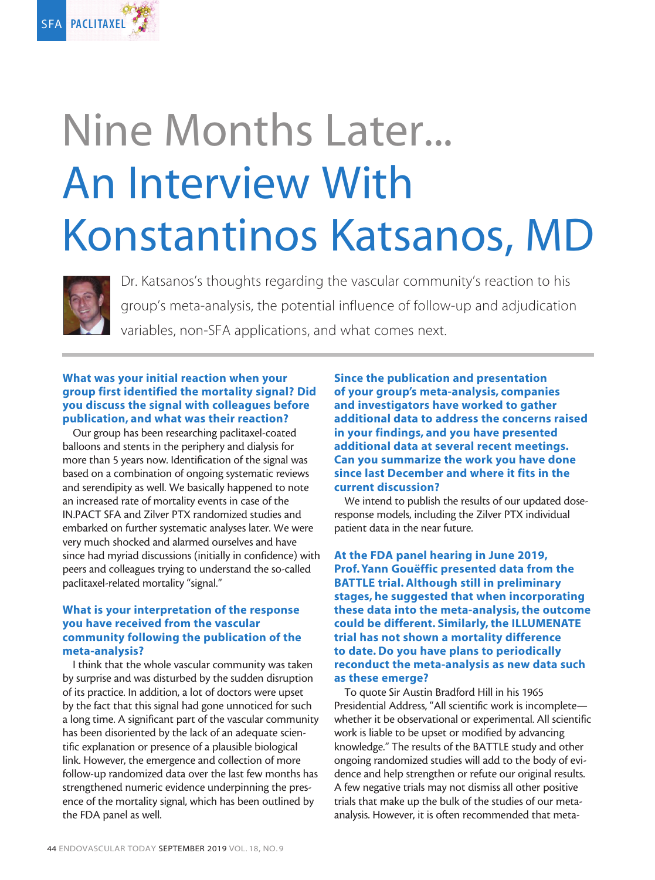

# Nine Months Later... An Interview With Konstantinos Katsanos, MD



Dr. Katsanos's thoughts regarding the vascular community's reaction to his group's meta-analysis, the potential influence of follow-up and adjudication variables, non-SFA applications, and what comes next.

#### What was your initial reaction when your group first identified the mortality signal? Did you discuss the signal with colleagues before publication, and what was their reaction?

Our group has been researching paclitaxel-coated balloons and stents in the periphery and dialysis for more than 5 years now. Identification of the signal was based on a combination of ongoing systematic reviews and serendipity as well. We basically happened to note an increased rate of mortality events in case of the IN.PACT SFA and Zilver PTX randomized studies and embarked on further systematic analyses later. We were very much shocked and alarmed ourselves and have since had myriad discussions (initially in confidence) with peers and colleagues trying to understand the so-called paclitaxel-related mortality "signal."

# What is your interpretation of the response you have received from the vascular community following the publication of the meta-analysis?

I think that the whole vascular community was taken by surprise and was disturbed by the sudden disruption of its practice. In addition, a lot of doctors were upset by the fact that this signal had gone unnoticed for such a long time. A significant part of the vascular community has been disoriented by the lack of an adequate scientific explanation or presence of a plausible biological link. However, the emergence and collection of more follow-up randomized data over the last few months has strengthened numeric evidence underpinning the presence of the mortality signal, which has been outlined by the FDA panel as well.

Since the publication and presentation of your group's meta-analysis, companies and investigators have worked to gather additional data to address the concerns raised in your findings, and you have presented additional data at several recent meetings. Can you summarize the work you have done since last December and where it fits in the current discussion?

We intend to publish the results of our updated doseresponse models, including the Zilver PTX individual patient data in the near future.

# At the FDA panel hearing in June 2019, Prof.Yann Gouëffic presented data from the BATTLE trial. Although still in preliminary stages, he suggested that when incorporating these data into the meta-analysis, the outcome could be different. Similarly, the ILLUMENATE trial has not shown a mortality difference to date. Do you have plans to periodically reconduct the meta-analysis as new data such as these emerge?

To quote Sir Austin Bradford Hill in his 1965 Presidential Address, "All scientific work is incomplete whether it be observational or experimental. All scientific work is liable to be upset or modified by advancing knowledge." The results of the BATTLE study and other ongoing randomized studies will add to the body of evidence and help strengthen or refute our original results. A few negative trials may not dismiss all other positive trials that make up the bulk of the studies of our metaanalysis. However, it is often recommended that meta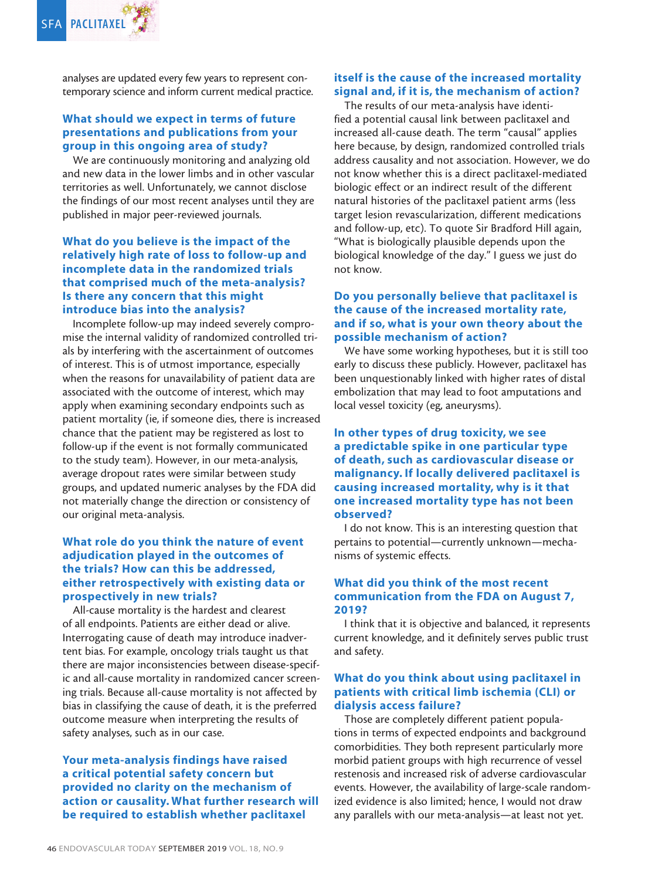analyses are updated every few years to represent contemporary science and inform current medical practice.

#### What should we expect in terms of future presentations and publications from your group in this ongoing area of study?

We are continuously monitoring and analyzing old and new data in the lower limbs and in other vascular territories as well. Unfortunately, we cannot disclose the findings of our most recent analyses until they are published in major peer-reviewed journals.

#### What do you believe is the impact of the relatively high rate of loss to follow-up and incomplete data in the randomized trials that comprised much of the meta-analysis? Is there any concern that this might introduce bias into the analysis?

Incomplete follow-up may indeed severely compromise the internal validity of randomized controlled trials by interfering with the ascertainment of outcomes of interest. This is of utmost importance, especially when the reasons for unavailability of patient data are associated with the outcome of interest, which may apply when examining secondary endpoints such as patient mortality (ie, if someone dies, there is increased chance that the patient may be registered as lost to follow-up if the event is not formally communicated to the study team). However, in our meta-analysis, average dropout rates were similar between study groups, and updated numeric analyses by the FDA did not materially change the direction or consistency of our original meta-analysis.

# What role do you think the nature of event adjudication played in the outcomes of the trials? How can this be addressed, either retrospectively with existing data or prospectively in new trials?

All-cause mortality is the hardest and clearest of all endpoints. Patients are either dead or alive. Interrogating cause of death may introduce inadvertent bias. For example, oncology trials taught us that there are major inconsistencies between disease-specific and all-cause mortality in randomized cancer screening trials. Because all-cause mortality is not affected by bias in classifying the cause of death, it is the preferred outcome measure when interpreting the results of safety analyses, such as in our case.

# Your meta-analysis findings have raised a critical potential safety concern but provided no clarity on the mechanism of action or causality. What further research will be required to establish whether paclitaxel

# itself is the cause of the increased mortality signal and, if it is, the mechanism of action?

The results of our meta-analysis have identified a potential causal link between paclitaxel and increased all-cause death. The term "causal" applies here because, by design, randomized controlled trials address causality and not association. However, we do not know whether this is a direct paclitaxel-mediated biologic effect or an indirect result of the different natural histories of the paclitaxel patient arms (less target lesion revascularization, different medications and follow-up, etc). To quote Sir Bradford Hill again, "What is biologically plausible depends upon the biological knowledge of the day." I guess we just do not know.

# Do you personally believe that paclitaxel is the cause of the increased mortality rate, and if so, what is your own theory about the possible mechanism of action?

We have some working hypotheses, but it is still too early to discuss these publicly. However, paclitaxel has been unquestionably linked with higher rates of distal embolization that may lead to foot amputations and local vessel toxicity (eg, aneurysms).

# In other types of drug toxicity, we see a predictable spike in one particular type of death, such as cardiovascular disease or malignancy. If locally delivered paclitaxel is causing increased mortality, why is it that one increased mortality type has not been observed?

I do not know. This is an interesting question that pertains to potential—currently unknown—mechanisms of systemic effects.

## What did you think of the most recent communication from the FDA on August 7, 2019?

I think that it is objective and balanced, it represents current knowledge, and it definitely serves public trust and safety.

## What do you think about using paclitaxel in patients with critical limb ischemia (CLI) or dialysis access failure?

Those are completely different patient populations in terms of expected endpoints and background comorbidities. They both represent particularly more morbid patient groups with high recurrence of vessel restenosis and increased risk of adverse cardiovascular events. However, the availability of large-scale randomized evidence is also limited; hence, I would not draw any parallels with our meta-analysis—at least not yet.